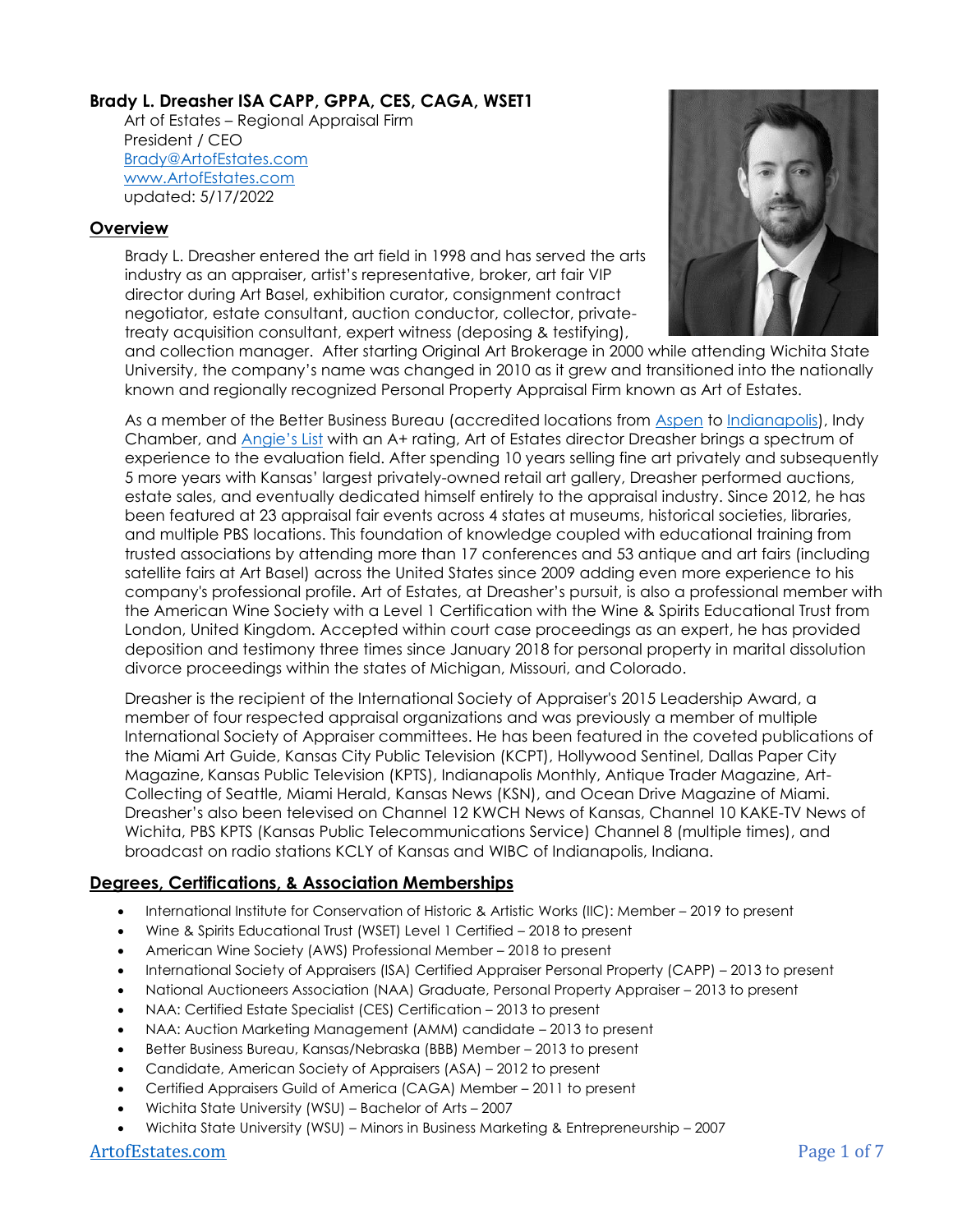# **Brady L. Dreasher ISA CAPP, GPPA, CES, CAGA, WSET1**

 Art of Estates – Regional Appraisal Firm President / CEO [Brady@ArtofEstates.com](mailto:Brady@ArtofEstates.com) [www.ArtofEstates.com](https://artofestates.com/) updated: 5/17/2022

#### **Overview**

Brady L. Dreasher entered the art field in 1998 and has served the arts industry as an appraiser, artist's representative, broker, art fair VIP director during Art Basel, exhibition curator, consignment contract negotiator, estate consultant, auction conductor, collector, privatetreaty acquisition consultant, expert witness (deposing & testifying),



and collection manager. After starting Original Art Brokerage in 2000 while attending Wichita State University, the company's name was changed in 2010 as it grew and transitioned into the nationally known and regionally recognized Personal Property Appraisal Firm known as Art of Estates.

As a member of the Better Business Bureau (accredited locations from [Aspen](https://www.bbb.org/us/co/aspen/profile/estate-appraisal/art-of-estates-0805-46096258) to [Indianapolis\)](https://www.bbb.org/us/in/indianapolis/profile/estate-appraisal/art-of-estates-0382-90021927), Indy Chamber, and [Angie's List](https://www.angieslist.com/companylist/us/in/indianapolis/art-of-estates-reviews-8443841.htm) with an A+ rating, Art of Estates director Dreasher brings a spectrum of experience to the evaluation field. After spending 10 years selling fine art privately and subsequently 5 more years with Kansas' largest privately-owned retail art gallery, Dreasher performed auctions, estate sales, and eventually dedicated himself entirely to the appraisal industry. Since 2012, he has been featured at 23 appraisal fair events across 4 states at museums, historical societies, libraries, and multiple PBS locations. This foundation of knowledge coupled with educational training from trusted associations by attending more than 17 conferences and 53 antique and art fairs (including satellite fairs at Art Basel) across the United States since 2009 adding even more experience to his company's professional profile. Art of Estates, at Dreasher's pursuit, is also a professional member with the American Wine Society with a Level 1 Certification with the Wine & Spirits Educational Trust from London, United Kingdom. Accepted within court case proceedings as an expert, he has provided deposition and testimony three times since January 2018 for personal property in marital dissolution divorce proceedings within the states of Michigan, Missouri, and Colorado.

Dreasher is the recipient of the International Society of Appraiser's 2015 Leadership Award, a member of four respected appraisal organizations and was previously a member of multiple International Society of Appraiser committees. He has been featured in the coveted publications of the Miami Art Guide, Kansas City Public Television (KCPT), Hollywood Sentinel, Dallas Paper City Magazine, Kansas Public Television (KPTS), Indianapolis Monthly, Antique Trader Magazine, Art-Collecting of Seattle, Miami Herald, Kansas News (KSN), and Ocean Drive Magazine of Miami. Dreasher's also been televised on Channel 12 KWCH News of Kansas, Channel 10 KAKE-TV News of Wichita, PBS KPTS (Kansas Public Telecommunications Service) Channel 8 (multiple times), and broadcast on radio stations KCLY of Kansas and WIBC of Indianapolis, Indiana.

# **Degrees, Certifications, & Association Memberships**

- International Institute for Conservation of Historic & Artistic Works (IIC): Member 2019 to present
- Wine & Spirits Educational Trust (WSET) Level 1 Certified 2018 to present
- American Wine Society (AWS) Professional Member 2018 to present
- International Society of Appraisers (ISA) Certified Appraiser Personal Property (CAPP) 2013 to present
- National Auctioneers Association (NAA) Graduate, Personal Property Appraiser 2013 to present
- NAA: Certified Estate Specialist (CES) Certification 2013 to present
- NAA: Auction Marketing Management (AMM) candidate 2013 to present
- Better Business Bureau, Kansas/Nebraska (BBB) Member 2013 to present
- Candidate, American Society of Appraisers (ASA) 2012 to present
- Certified Appraisers Guild of America (CAGA) Member 2011 to present
- Wichita State University (WSU) Bachelor of Arts 2007
- Wichita State University (WSU) Minors in Business Marketing & Entrepreneurship 2007

#### [ArtofEstates.com](https://artofestates.com/contact/) Page 1 of 7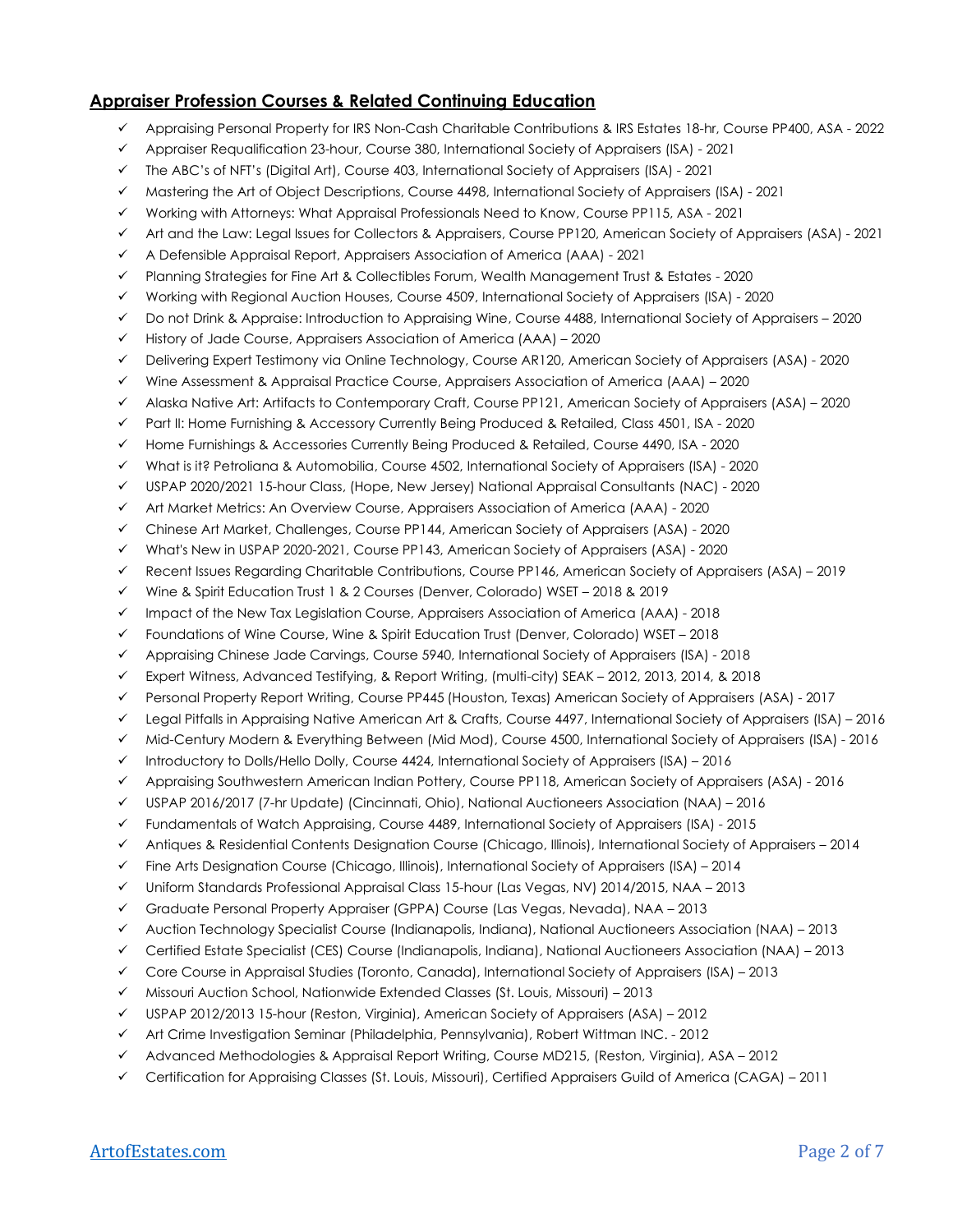## **Appraiser Profession Courses & Related Continuing Education**

- ✓ Appraising Personal Property for IRS Non-Cash Charitable Contributions & IRS Estates 18-hr, Course PP400, ASA 2022
- ✓ Appraiser Requalification 23-hour, Course 380, International Society of Appraisers (ISA) 2021
- ✓ The ABC's of NFT's (Digital Art), Course 403, International Society of Appraisers (ISA) 2021
- ✓ Mastering the Art of Object Descriptions, Course 4498, International Society of Appraisers (ISA) 2021
- ✓ Working with Attorneys: What Appraisal Professionals Need to Know, Course PP115, ASA 2021
- ✓ Art and the Law: Legal Issues for Collectors & Appraisers, Course PP120, American Society of Appraisers (ASA) 2021
- ✓ A Defensible Appraisal Report, Appraisers Association of America (AAA) 2021
- ✓ Planning Strategies for Fine Art & Collectibles Forum, Wealth Management Trust & Estates 2020
- ✓ Working with Regional Auction Houses, Course 4509, International Society of Appraisers (ISA) 2020
- ✓ Do not Drink & Appraise: Introduction to Appraising Wine, Course 4488, International Society of Appraisers 2020
- $\checkmark$  History of Jade Course, Appraisers Association of America (AAA) 2020
- ✓ Delivering Expert Testimony via Online Technology, Course AR120, American Society of Appraisers (ASA) 2020
- ✓ Wine Assessment & Appraisal Practice Course, Appraisers Association of America (AAA) 2020
- ✓ Alaska Native Art: Artifacts to Contemporary Craft, Course PP121, American Society of Appraisers (ASA) 2020
- ✓ Part II: Home Furnishing & Accessory Currently Being Produced & Retailed, Class 4501, ISA 2020
- ✓ Home Furnishings & Accessories Currently Being Produced & Retailed, Course 4490, ISA 2020
- ✓ What is it? Petroliana & Automobilia, Course 4502, International Society of Appraisers (ISA) 2020
- ✓ USPAP 2020/2021 15-hour Class, (Hope, New Jersey) National Appraisal Consultants (NAC) 2020
- ✓ Art Market Metrics: An Overview Course, Appraisers Association of America (AAA) 2020
- ✓ Chinese Art Market, Challenges, Course PP144, American Society of Appraisers (ASA) 2020
- ✓ What's New in USPAP 2020-2021, Course PP143, American Society of Appraisers (ASA) 2020
- ✓ Recent Issues Regarding Charitable Contributions, Course PP146, American Society of Appraisers (ASA) 2019
- ✓ Wine & Spirit Education Trust 1 & 2 Courses (Denver, Colorado) WSET 2018 & 2019
- ✓ Impact of the New Tax Legislation Course, Appraisers Association of America (AAA) 2018
- ✓ Foundations of Wine Course, Wine & Spirit Education Trust (Denver, Colorado) WSET 2018
- ✓ Appraising Chinese Jade Carvings, Course 5940, International Society of Appraisers (ISA) 2018
- ✓ Expert Witness, Advanced Testifying, & Report Writing, (multi-city) SEAK 2012, 2013, 2014, & 2018
- ✓ Personal Property Report Writing, Course PP445 (Houston, Texas) American Society of Appraisers (ASA) 2017
- ✓ Legal Pitfalls in Appraising Native American Art & Crafts, Course 4497, International Society of Appraisers (ISA) 2016
- ✓ Mid-Century Modern & Everything Between (Mid Mod), Course 4500, International Society of Appraisers (ISA) 2016
- $\checkmark$  Introductory to Dolls/Hello Dolly, Course 4424, International Society of Appraisers (ISA) 2016
- ✓ Appraising Southwestern American Indian Pottery, Course PP118, American Society of Appraisers (ASA) 2016
- ✓ USPAP 2016/2017 (7-hr Update) (Cincinnati, Ohio), National Auctioneers Association (NAA) 2016
- ✓ Fundamentals of Watch Appraising, Course 4489, International Society of Appraisers (ISA) 2015
- ✓ Antiques & Residential Contents Designation Course (Chicago, Illinois), International Society of Appraisers 2014
- $\checkmark$  Fine Arts Designation Course (Chicago, Illinois), International Society of Appraisers (ISA) 2014
- ✓ Uniform Standards Professional Appraisal Class 15-hour (Las Vegas, NV) 2014/2015, NAA 2013
- ✓ Graduate Personal Property Appraiser (GPPA) Course (Las Vegas, Nevada), NAA 2013
- ✓ Auction Technology Specialist Course (Indianapolis, Indiana), National Auctioneers Association (NAA) 2013
- ✓ Certified Estate Specialist (CES) Course (Indianapolis, Indiana), National Auctioneers Association (NAA) 2013
- ✓ Core Course in Appraisal Studies (Toronto, Canada), International Society of Appraisers (ISA) 2013
- ✓ Missouri Auction School, Nationwide Extended Classes (St. Louis, Missouri) 2013
- $\checkmark$  USPAP 2012/2013 15-hour (Reston, Virginia), American Society of Appraisers (ASA) 2012
- ✓ Art Crime Investigation Seminar (Philadelphia, Pennsylvania), Robert Wittman INC. 2012
- ✓ Advanced Methodologies & Appraisal Report Writing, Course MD215, (Reston, Virginia), ASA 2012
- ✓ Certification for Appraising Classes (St. Louis, Missouri), Certified Appraisers Guild of America (CAGA) 2011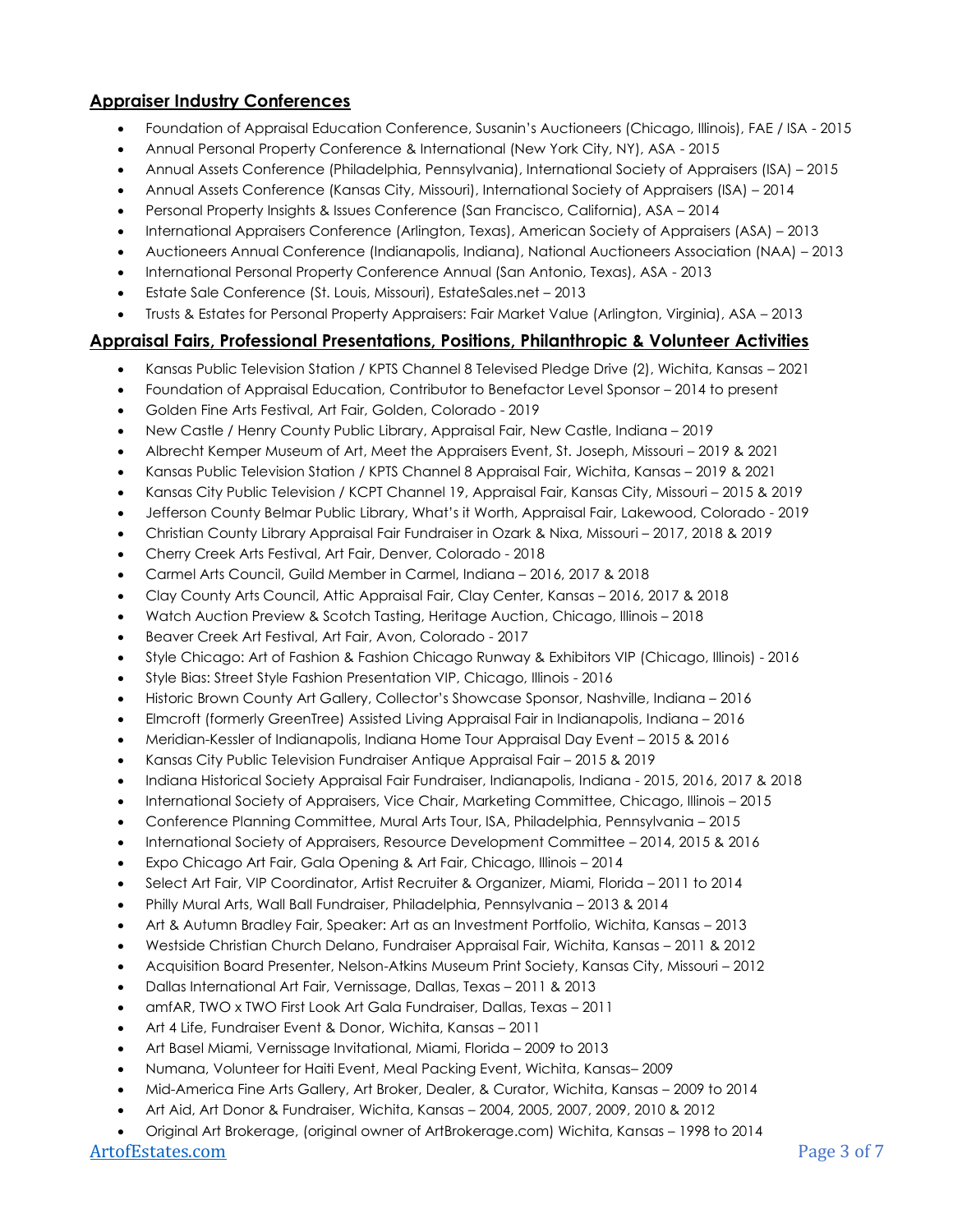# **Appraiser Industry Conferences**

- Foundation of Appraisal Education Conference, Susanin's Auctioneers (Chicago, Illinois), FAE / ISA 2015
- Annual Personal Property Conference & International (New York City, NY), ASA 2015
- Annual Assets Conference (Philadelphia, Pennsylvania), International Society of Appraisers (ISA) 2015
- Annual Assets Conference (Kansas City, Missouri), International Society of Appraisers (ISA) 2014
- Personal Property Insights & Issues Conference (San Francisco, California), ASA 2014
- International Appraisers Conference (Arlington, Texas), American Society of Appraisers (ASA) 2013
- Auctioneers Annual Conference (Indianapolis, Indiana), National Auctioneers Association (NAA) 2013
- International Personal Property Conference Annual (San Antonio, Texas), ASA 2013
- Estate Sale Conference (St. Louis, Missouri), EstateSales.net 2013
- Trusts & Estates for Personal Property Appraisers: Fair Market Value (Arlington, Virginia), ASA 2013

#### **Appraisal Fairs, Professional Presentations, Positions, Philanthropic & Volunteer Activities**

- Kansas Public Television Station / KPTS Channel 8 Televised Pledge Drive (2), Wichita, Kansas 2021
- Foundation of Appraisal Education, Contributor to Benefactor Level Sponsor 2014 to present
- Golden Fine Arts Festival, Art Fair, Golden, Colorado 2019
- New Castle / Henry County Public Library, Appraisal Fair, New Castle, Indiana 2019
- Albrecht Kemper Museum of Art, Meet the Appraisers Event, St. Joseph, Missouri 2019 & 2021
- Kansas Public Television Station / KPTS Channel 8 Appraisal Fair, Wichita, Kansas 2019 & 2021
- Kansas City Public Television / KCPT Channel 19, Appraisal Fair, Kansas City, Missouri 2015 & 2019
- Jefferson County Belmar Public Library, What's it Worth, Appraisal Fair, Lakewood, Colorado 2019
- Christian County Library Appraisal Fair Fundraiser in Ozark & Nixa, Missouri 2017, 2018 & 2019
- Cherry Creek Arts Festival, Art Fair, Denver, Colorado 2018
- Carmel Arts Council, Guild Member in Carmel, Indiana 2016, 2017 & 2018
- Clay County Arts Council, Attic Appraisal Fair, Clay Center, Kansas 2016, 2017 & 2018
- Watch Auction Preview & Scotch Tasting, Heritage Auction, Chicago, Illinois 2018
- Beaver Creek Art Festival, Art Fair, Avon, Colorado 2017
- Style Chicago: Art of Fashion & Fashion Chicago Runway & Exhibitors VIP (Chicago, Illinois) 2016
- Style Bias: Street Style Fashion Presentation VIP, Chicago, Illinois 2016
- Historic Brown County Art Gallery, Collector's Showcase Sponsor, Nashville, Indiana 2016
- Elmcroft (formerly GreenTree) Assisted Living Appraisal Fair in Indianapolis, Indiana 2016
- Meridian-Kessler of Indianapolis, Indiana Home Tour Appraisal Day Event 2015 & 2016
- Kansas City Public Television Fundraiser Antique Appraisal Fair 2015 & 2019
- Indiana Historical Society Appraisal Fair Fundraiser, Indianapolis, Indiana 2015, 2016, 2017 & 2018
- International Society of Appraisers, Vice Chair, Marketing Committee, Chicago, Illinois 2015
- Conference Planning Committee, Mural Arts Tour, ISA, Philadelphia, Pennsylvania 2015
- International Society of Appraisers, Resource Development Committee 2014, 2015 & 2016
- Expo Chicago Art Fair, Gala Opening & Art Fair, Chicago, Illinois 2014
- Select Art Fair, VIP Coordinator, Artist Recruiter & Organizer, Miami, Florida 2011 to 2014
- Philly Mural Arts, Wall Ball Fundraiser, Philadelphia, Pennsylvania 2013 & 2014
- Art & Autumn Bradley Fair, Speaker: Art as an Investment Portfolio, Wichita, Kansas 2013
- Westside Christian Church Delano, Fundraiser Appraisal Fair, Wichita, Kansas 2011 & 2012
- Acquisition Board Presenter, Nelson-Atkins Museum Print Society, Kansas City, Missouri 2012
- Dallas International Art Fair, Vernissage, Dallas, Texas 2011 & 2013
- amfAR, TWO x TWO First Look Art Gala Fundraiser, Dallas, Texas 2011
- Art 4 Life, Fundraiser Event & Donor, Wichita, Kansas 2011
- Art Basel Miami, Vernissage Invitational, Miami, Florida 2009 to 2013
- Numana, Volunteer for Haiti Event, Meal Packing Event, Wichita, Kansas– 2009
- Mid-America Fine Arts Gallery, Art Broker, Dealer, & Curator, Wichita, Kansas 2009 to 2014
- Art Aid, Art Donor & Fundraiser, Wichita, Kansas 2004, 2005, 2007, 2009, 2010 & 2012
- Original Art Brokerage, (original owner of ArtBrokerage.com) Wichita, Kansas 1998 to 2014

#### [ArtofEstates.com](https://artofestates.com/contact/) Page 3 of 7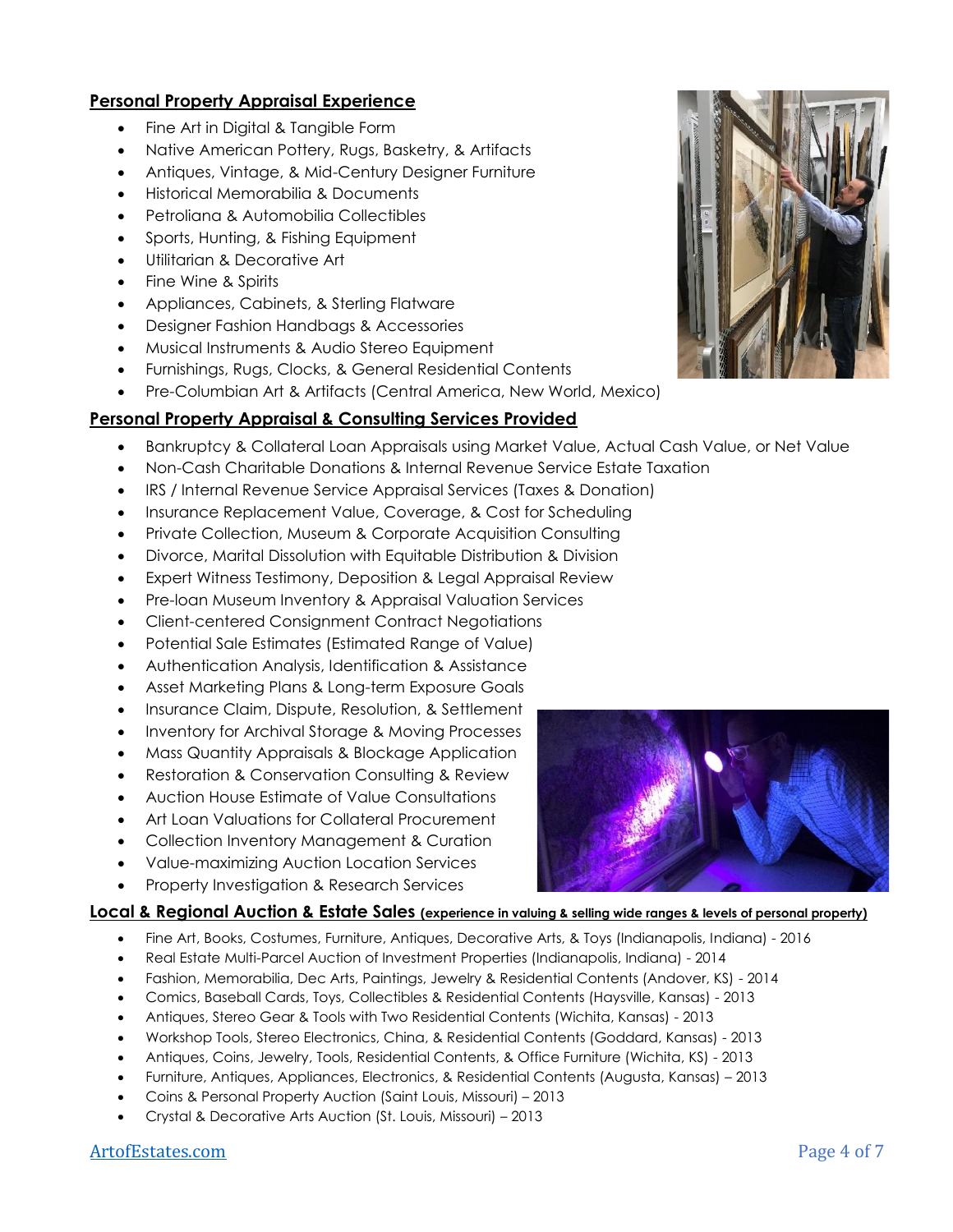## **Personal Property Appraisal Experience**

- Fine Art in Digital & Tangible Form
- Native American Pottery, Rugs, Basketry, & Artifacts
- Antiques, Vintage, & Mid-Century Designer Furniture
- Historical Memorabilia & Documents
- Petroliana & Automobilia Collectibles
- Sports, Hunting, & Fishing Equipment
- Utilitarian & Decorative Art
- Fine Wine & Spirits
- Appliances, Cabinets, & Sterling Flatware
- Designer Fashion Handbags & Accessories
- Musical Instruments & Audio Stereo Equipment
- Furnishings, Rugs, Clocks, & General Residential Contents
- Pre-Columbian Art & Artifacts (Central America, New World, Mexico)

# **Personal Property Appraisal & Consulting Services Provided**

- Bankruptcy & Collateral Loan Appraisals using Market Value, Actual Cash Value, or Net Value
- Non-Cash Charitable Donations & Internal Revenue Service Estate Taxation
- IRS / Internal Revenue Service Appraisal Services (Taxes & Donation)
- Insurance Replacement Value, Coverage, & Cost for Scheduling
- Private Collection, Museum & Corporate Acquisition Consulting
- Divorce, Marital Dissolution with Equitable Distribution & Division
- Expert Witness Testimony, Deposition & Legal Appraisal Review
- Pre-loan Museum Inventory & Appraisal Valuation Services
- Client-centered Consignment Contract Negotiations
- Potential Sale Estimates (Estimated Range of Value)
- Authentication Analysis, Identification & Assistance
- Asset Marketing Plans & Long-term Exposure Goals
- Insurance Claim, Dispute, Resolution, & Settlement
- Inventory for Archival Storage & Moving Processes
- Mass Quantity Appraisals & Blockage Application
- Restoration & Conservation Consulting & Review
- Auction House Estimate of Value Consultations
- Art Loan Valuations for Collateral Procurement
- Collection Inventory Management & Curation
- Value-maximizing Auction Location Services
- Property Investigation & Research Services

# **Local & Regional Auction & Estate Sales (experience in valuing & selling wide ranges & levels of personal property)**

- Fine Art, Books, Costumes, Furniture, Antiques, Decorative Arts, & Toys (Indianapolis, Indiana) 2016
- Real Estate Multi-Parcel Auction of Investment Properties (Indianapolis, Indiana) 2014
- Fashion, Memorabilia, Dec Arts, Paintings, Jewelry & Residential Contents (Andover, KS) 2014
- Comics, Baseball Cards, Toys, Collectibles & Residential Contents (Haysville, Kansas) 2013
- Antiques, Stereo Gear & Tools with Two Residential Contents (Wichita, Kansas) 2013
- Workshop Tools, Stereo Electronics, China, & Residential Contents (Goddard, Kansas) 2013
- Antiques, Coins, Jewelry, Tools, Residential Contents, & Office Furniture (Wichita, KS) 2013
- Furniture, Antiques, Appliances, Electronics, & Residential Contents (Augusta, Kansas) 2013
- Coins & Personal Property Auction (Saint Louis, Missouri) 2013
- Crystal & Decorative Arts Auction (St. Louis, Missouri) 2013





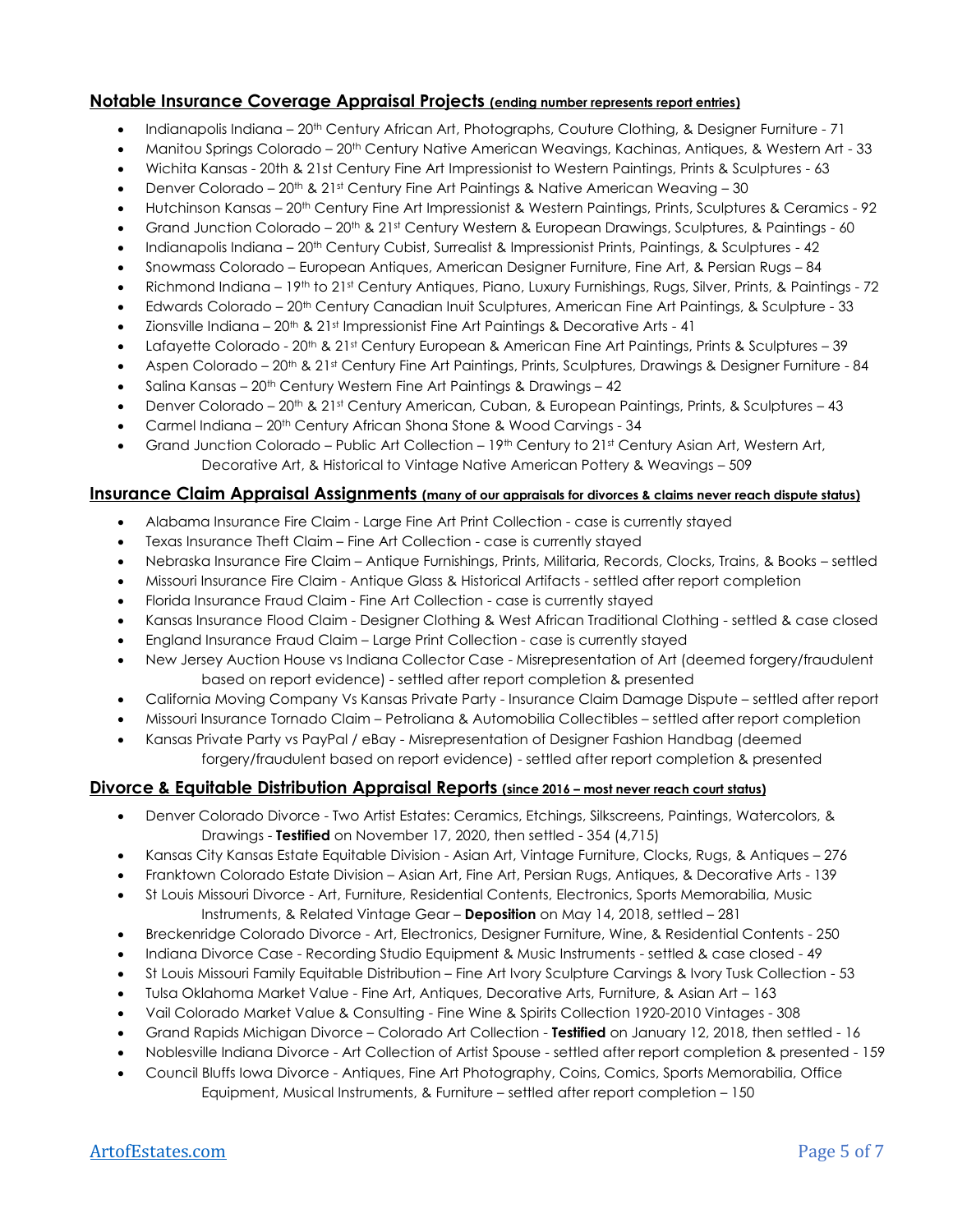#### **Notable Insurance Coverage Appraisal Projects (ending number represents report entries)**

- Indianapolis Indiana 20<sup>th</sup> Century African Art, Photographs, Couture Clothing, & Designer Furniture 71
- Manitou Springs Colorado 20<sup>th</sup> Century Native American Weavings, Kachinas, Antiques, & Western Art 33
- Wichita Kansas 20th & 21st Century Fine Art Impressionist to Western Paintings, Prints & Sculptures 63
- Denver Colorado  $20<sup>th</sup>$  &  $21<sup>st</sup>$  Century Fine Art Paintings & Native American Weaving 30
- Hutchinson Kansas 20th Century Fine Art Impressionist & Western Paintings, Prints, Sculptures & Ceramics 92
- Grand Junction Colorado 20<sup>th</sup> & 21st Century Western & European Drawings, Sculptures, & Paintings 60
- Indianapolis Indiana 20th Century Cubist, Surrealist & Impressionist Prints, Paintings, & Sculptures 42
- Snowmass Colorado European Antiques, American Designer Furniture, Fine Art, & Persian Rugs 84
- Richmond Indiana 19th to 21st Century Antiques, Piano, Luxury Furnishings, Rugs, Silver, Prints, & Paintings 72
- Edwards Colorado 20<sup>th</sup> Century Canadian Inuit Sculptures, American Fine Art Paintings, & Sculpture 33
- Zionsville Indiana 20<sup>th</sup> & 21<sup>st</sup> Impressionist Fine Art Paintings & Decorative Arts 41
- Lafayette Colorado 20<sup>th</sup> & 21st Century European & American Fine Art Paintings, Prints & Sculptures 39
- Aspen Colorado 20th & 21st Century Fine Art Paintings, Prints, Sculptures, Drawings & Designer Furniture 84
- Salina Kansas 20<sup>th</sup> Century Western Fine Art Paintings & Drawings 42
- Denver Colorado 20th & 21st Century American, Cuban, & European Paintings, Prints, & Sculptures 43
- Carmel Indiana 20<sup>th</sup> Century African Shona Stone & Wood Carvings 34
- Grand Junction Colorado Public Art Collection 19<sup>th</sup> Century to 21<sup>st</sup> Century Asian Art, Western Art, Decorative Art, & Historical to Vintage Native American Pottery & Weavings – 509

### **Insurance Claim Appraisal Assignments (many of our appraisals for divorces & claims never reach dispute status)**

- Alabama Insurance Fire Claim Large Fine Art Print Collection case is currently stayed
- Texas Insurance Theft Claim Fine Art Collection case is currently stayed
- Nebraska Insurance Fire Claim Antique Furnishings, Prints, Militaria, Records, Clocks, Trains, & Books settled
- Missouri Insurance Fire Claim Antique Glass & Historical Artifacts settled after report completion
- Florida Insurance Fraud Claim Fine Art Collection case is currently stayed
- Kansas Insurance Flood Claim Designer Clothing & West African Traditional Clothing settled & case closed
- England Insurance Fraud Claim Large Print Collection case is currently stayed
- New Jersey Auction House vs Indiana Collector Case Misrepresentation of Art (deemed forgery/fraudulent based on report evidence) - settled after report completion & presented
- California Moving Company Vs Kansas Private Party Insurance Claim Damage Dispute settled after report
- Missouri Insurance Tornado Claim Petroliana & Automobilia Collectibles settled after report completion
- Kansas Private Party vs PayPal / eBay Misrepresentation of Designer Fashion Handbag (deemed forgery/fraudulent based on report evidence) - settled after report completion & presented

# **Divorce & Equitable Distribution Appraisal Reports (since 2016 – most never reach court status)**

- Denver Colorado Divorce Two Artist Estates: Ceramics, Etchings, Silkscreens, Paintings, Watercolors, & Drawings - **Testified** on November 17, 2020, then settled - 354 (4,715)
- Kansas City Kansas Estate Equitable Division Asian Art, Vintage Furniture, Clocks, Rugs, & Antiques 276
- Franktown Colorado Estate Division Asian Art, Fine Art, Persian Rugs, Antiques, & Decorative Arts 139
- St Louis Missouri Divorce Art, Furniture, Residential Contents, Electronics, Sports Memorabilia, Music Instruments, & Related Vintage Gear – **Deposition** on May 14, 2018, settled – 281
- Breckenridge Colorado Divorce Art, Electronics, Designer Furniture, Wine, & Residential Contents 250
- Indiana Divorce Case Recording Studio Equipment & Music Instruments settled & case closed 49
- St Louis Missouri Family Equitable Distribution Fine Art Ivory Sculpture Carvings & Ivory Tusk Collection 53
- Tulsa Oklahoma Market Value Fine Art, Antiques, Decorative Arts, Furniture, & Asian Art 163
- Vail Colorado Market Value & Consulting Fine Wine & Spirits Collection 1920-2010 Vintages 308
- Grand Rapids Michigan Divorce Colorado Art Collection **Testified** on January 12, 2018, then settled 16
- Noblesville Indiana Divorce Art Collection of Artist Spouse settled after report completion & presented 159
- Council Bluffs Iowa Divorce Antiques, Fine Art Photography, Coins, Comics, Sports Memorabilia, Office Equipment, Musical Instruments, & Furniture – settled after report completion – 150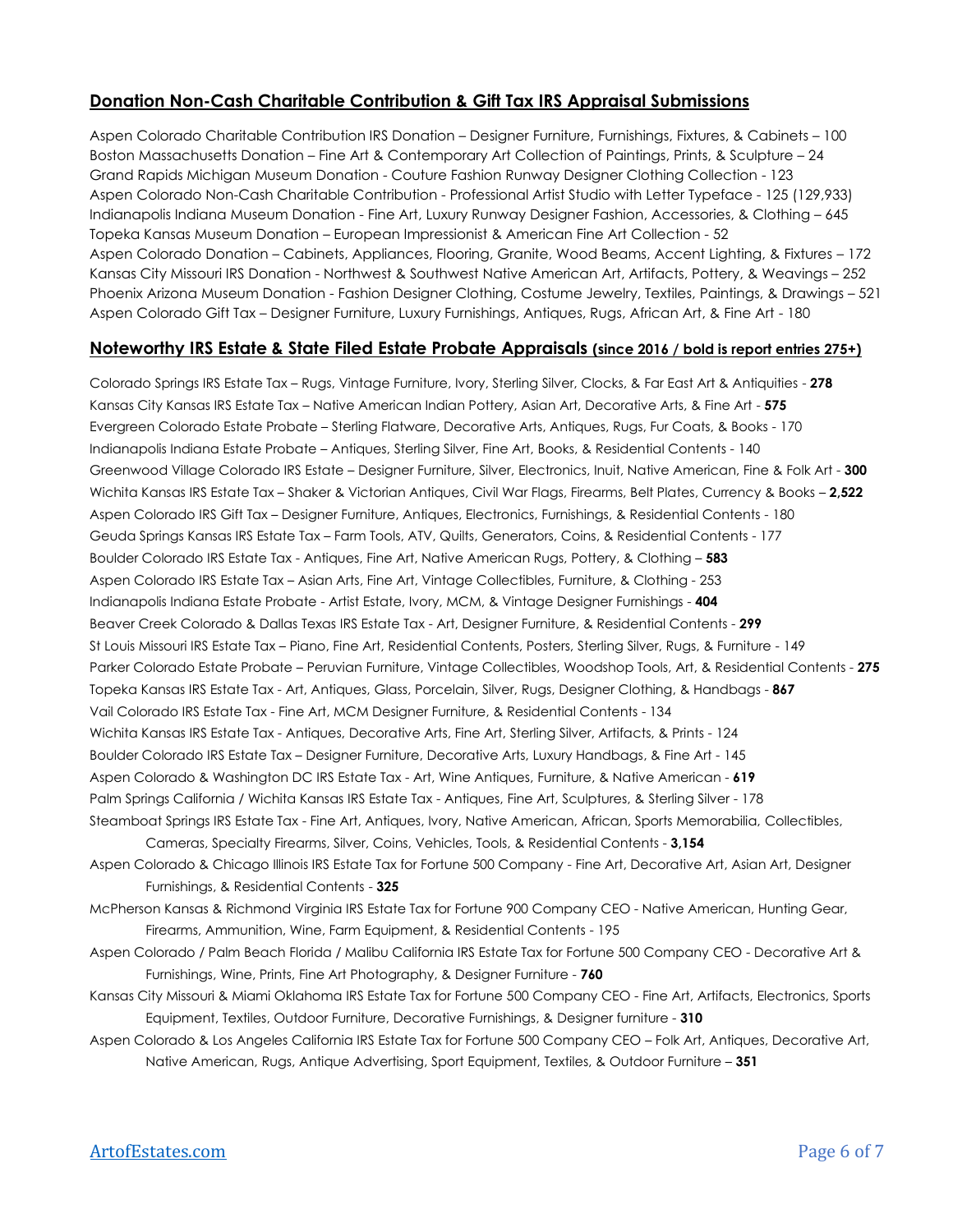## **Donation Non-Cash Charitable Contribution & Gift Tax IRS Appraisal Submissions**

Aspen Colorado Charitable Contribution IRS Donation – Designer Furniture, Furnishings, Fixtures, & Cabinets – 100 Boston Massachusetts Donation – Fine Art & Contemporary Art Collection of Paintings, Prints, & Sculpture – 24 Grand Rapids Michigan Museum Donation - Couture Fashion Runway Designer Clothing Collection - 123 Aspen Colorado Non-Cash Charitable Contribution - Professional Artist Studio with Letter Typeface - 125 (129,933) Indianapolis Indiana Museum Donation - Fine Art, Luxury Runway Designer Fashion, Accessories, & Clothing – 645 Topeka Kansas Museum Donation – European Impressionist & American Fine Art Collection - 52 Aspen Colorado Donation – Cabinets, Appliances, Flooring, Granite, Wood Beams, Accent Lighting, & Fixtures – 172 Kansas City Missouri IRS Donation - Northwest & Southwest Native American Art, Artifacts, Pottery, & Weavings – 252 Phoenix Arizona Museum Donation - Fashion Designer Clothing, Costume Jewelry, Textiles, Paintings, & Drawings – 521 Aspen Colorado Gift Tax – Designer Furniture, Luxury Furnishings, Antiques, Rugs, African Art, & Fine Art - 180

#### **Noteworthy IRS Estate & State Filed Estate Probate Appraisals (since 2016 / bold is report entries 275+)**

Colorado Springs IRS Estate Tax – Rugs, Vintage Furniture, Ivory, Sterling Silver, Clocks, & Far East Art & Antiquities - **278** Kansas City Kansas IRS Estate Tax – Native American Indian Pottery, Asian Art, Decorative Arts, & Fine Art - **575** Evergreen Colorado Estate Probate – Sterling Flatware, Decorative Arts, Antiques, Rugs, Fur Coats, & Books - 170 Indianapolis Indiana Estate Probate – Antiques, Sterling Silver, Fine Art, Books, & Residential Contents - 140 Greenwood Village Colorado IRS Estate – Designer Furniture, Silver, Electronics, Inuit, Native American, Fine & Folk Art - **300** Wichita Kansas IRS Estate Tax – Shaker & Victorian Antiques, Civil War Flags, Firearms, Belt Plates, Currency & Books – **2,522** Aspen Colorado IRS Gift Tax – Designer Furniture, Antiques, Electronics, Furnishings, & Residential Contents - 180 Geuda Springs Kansas IRS Estate Tax – Farm Tools, ATV, Quilts, Generators, Coins, & Residential Contents - 177 Boulder Colorado IRS Estate Tax - Antiques, Fine Art, Native American Rugs, Pottery, & Clothing – **583** Aspen Colorado IRS Estate Tax – Asian Arts, Fine Art, Vintage Collectibles, Furniture, & Clothing - 253 Indianapolis Indiana Estate Probate - Artist Estate, Ivory, MCM, & Vintage Designer Furnishings - **404** Beaver Creek Colorado & Dallas Texas IRS Estate Tax - Art, Designer Furniture, & Residential Contents - **299** St Louis Missouri IRS Estate Tax – Piano, Fine Art, Residential Contents, Posters, Sterling Silver, Rugs, & Furniture - 149 Parker Colorado Estate Probate – Peruvian Furniture, Vintage Collectibles, Woodshop Tools, Art, & Residential Contents - **275** Topeka Kansas IRS Estate Tax - Art, Antiques, Glass, Porcelain, Silver, Rugs, Designer Clothing, & Handbags - **867** Vail Colorado IRS Estate Tax - Fine Art, MCM Designer Furniture, & Residential Contents - 134 Wichita Kansas IRS Estate Tax - Antiques, Decorative Arts, Fine Art, Sterling Silver, Artifacts, & Prints - 124 Boulder Colorado IRS Estate Tax – Designer Furniture, Decorative Arts, Luxury Handbags, & Fine Art - 145 Aspen Colorado & Washington DC IRS Estate Tax - Art, Wine Antiques, Furniture, & Native American - **619** Palm Springs California / Wichita Kansas IRS Estate Tax - Antiques, Fine Art, Sculptures, & Sterling Silver - 178 Steamboat Springs IRS Estate Tax - Fine Art, Antiques, Ivory, Native American, African, Sports Memorabilia, Collectibles, Cameras, Specialty Firearms, Silver, Coins, Vehicles, Tools, & Residential Contents - **3,154**

Aspen Colorado & Chicago Illinois IRS Estate Tax for Fortune 500 Company - Fine Art, Decorative Art, Asian Art, Designer Furnishings, & Residential Contents - **325**

McPherson Kansas & Richmond Virginia IRS Estate Tax for Fortune 900 Company CEO - Native American, Hunting Gear, Firearms, Ammunition, Wine, Farm Equipment, & Residential Contents - 195

- Aspen Colorado / Palm Beach Florida / Malibu California IRS Estate Tax for Fortune 500 Company CEO Decorative Art & Furnishings, Wine, Prints, Fine Art Photography, & Designer Furniture - **760**
- Kansas City Missouri & Miami Oklahoma IRS Estate Tax for Fortune 500 Company CEO Fine Art, Artifacts, Electronics, Sports Equipment, Textiles, Outdoor Furniture, Decorative Furnishings, & Designer furniture - **310**
- Aspen Colorado & Los Angeles California IRS Estate Tax for Fortune 500 Company CEO Folk Art, Antiques, Decorative Art, Native American, Rugs, Antique Advertising, Sport Equipment, Textiles, & Outdoor Furniture – **351**